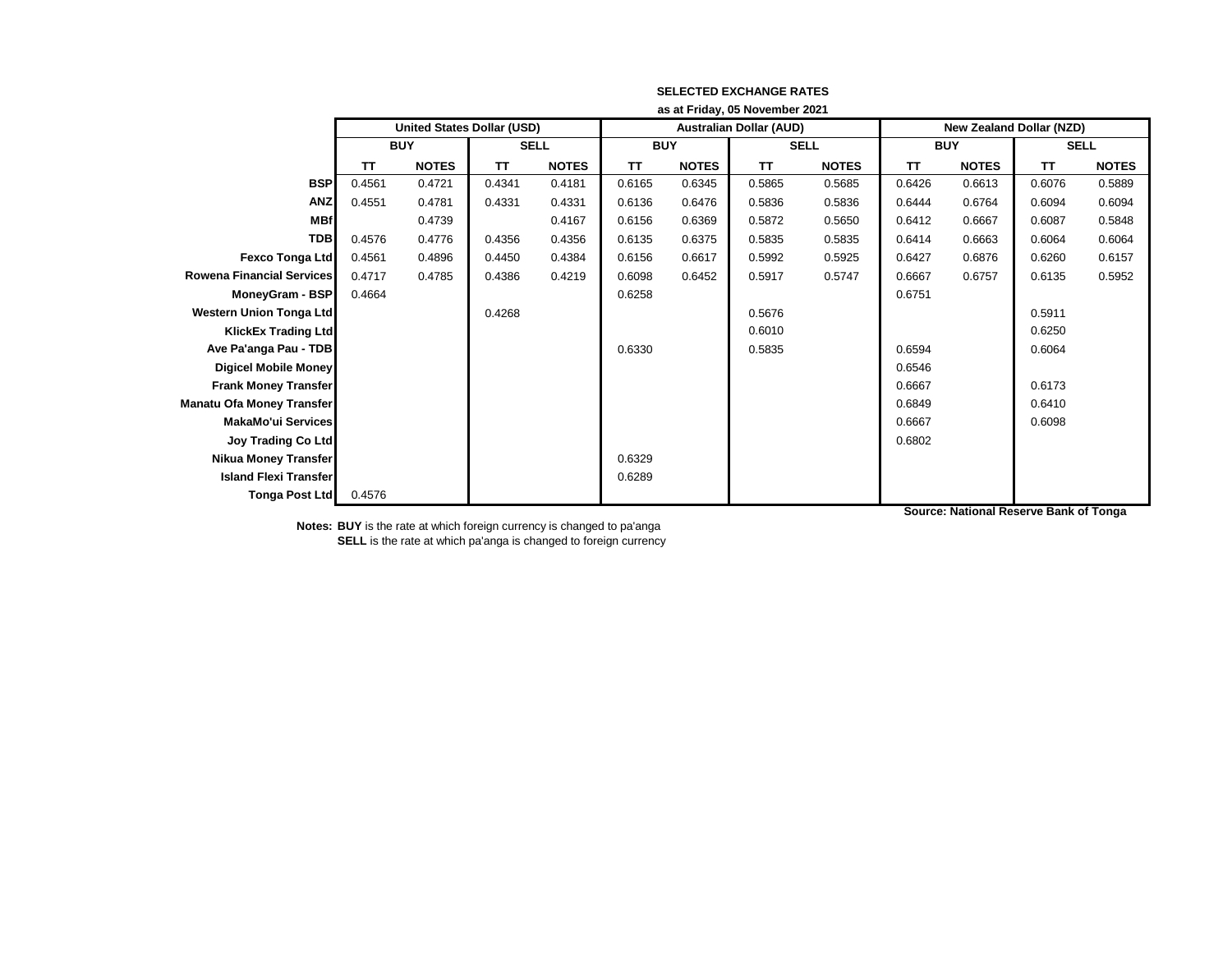|                                  | as at Friday, 05 November 2021 |                                   |             |              |            |              |                                |              |                                 |              |             |              |
|----------------------------------|--------------------------------|-----------------------------------|-------------|--------------|------------|--------------|--------------------------------|--------------|---------------------------------|--------------|-------------|--------------|
|                                  |                                | <b>United States Dollar (USD)</b> |             |              |            |              | <b>Australian Dollar (AUD)</b> |              | <b>New Zealand Dollar (NZD)</b> |              |             |              |
|                                  | <b>BUY</b>                     |                                   | <b>SELL</b> |              | <b>BUY</b> |              | <b>SELL</b>                    |              | <b>BUY</b>                      |              | <b>SELL</b> |              |
|                                  | TΤ                             | <b>NOTES</b>                      | <b>TT</b>   | <b>NOTES</b> | <b>TT</b>  | <b>NOTES</b> | TΤ                             | <b>NOTES</b> | <b>TT</b>                       | <b>NOTES</b> | TΤ          | <b>NOTES</b> |
| <b>BSP</b>                       | 0.4561                         | 0.4721                            | 0.4341      | 0.4181       | 0.6165     | 0.6345       | 0.5865                         | 0.5685       | 0.6426                          | 0.6613       | 0.6076      | 0.5889       |
| <b>ANZ</b>                       | 0.4551                         | 0.4781                            | 0.4331      | 0.4331       | 0.6136     | 0.6476       | 0.5836                         | 0.5836       | 0.6444                          | 0.6764       | 0.6094      | 0.6094       |
| <b>MBf</b>                       |                                | 0.4739                            |             | 0.4167       | 0.6156     | 0.6369       | 0.5872                         | 0.5650       | 0.6412                          | 0.6667       | 0.6087      | 0.5848       |
| <b>TDB</b>                       | 0.4576                         | 0.4776                            | 0.4356      | 0.4356       | 0.6135     | 0.6375       | 0.5835                         | 0.5835       | 0.6414                          | 0.6663       | 0.6064      | 0.6064       |
| Fexco Tonga Ltd                  | 0.4561                         | 0.4896                            | 0.4450      | 0.4384       | 0.6156     | 0.6617       | 0.5992                         | 0.5925       | 0.6427                          | 0.6876       | 0.6260      | 0.6157       |
| <b>Rowena Financial Services</b> | 0.4717                         | 0.4785                            | 0.4386      | 0.4219       | 0.6098     | 0.6452       | 0.5917                         | 0.5747       | 0.6667                          | 0.6757       | 0.6135      | 0.5952       |
| MoneyGram - BSP                  | 0.4664                         |                                   |             |              | 0.6258     |              |                                |              | 0.6751                          |              |             |              |
| <b>Western Union Tonga Ltd</b>   |                                |                                   | 0.4268      |              |            |              | 0.5676                         |              |                                 |              | 0.5911      |              |
| <b>KlickEx Trading Ltd</b>       |                                |                                   |             |              |            |              | 0.6010                         |              |                                 |              | 0.6250      |              |
| Ave Pa'anga Pau - TDB            |                                |                                   |             |              | 0.6330     |              | 0.5835                         |              | 0.6594                          |              | 0.6064      |              |
| <b>Digicel Mobile Money</b>      |                                |                                   |             |              |            |              |                                |              | 0.6546                          |              |             |              |
| <b>Frank Money Transfer</b>      |                                |                                   |             |              |            |              |                                |              | 0.6667                          |              | 0.6173      |              |
| <b>Manatu Ofa Money Transfer</b> |                                |                                   |             |              |            |              |                                |              | 0.6849                          |              | 0.6410      |              |
| <b>MakaMo'ui Services</b>        |                                |                                   |             |              |            |              |                                |              | 0.6667                          |              | 0.6098      |              |
| <b>Joy Trading Co Ltd</b>        |                                |                                   |             |              |            |              |                                |              | 0.6802                          |              |             |              |
| <b>Nikua Money Transfer</b>      |                                |                                   |             |              | 0.6329     |              |                                |              |                                 |              |             |              |
| <b>Island Flexi Transfer</b>     |                                |                                   |             |              | 0.6289     |              |                                |              |                                 |              |             |              |
| <b>Tonga Post Ltd</b>            | 0.4576                         |                                   |             |              |            |              |                                |              |                                 |              |             |              |

**Source: National Reserve Bank of Tonga**

**Notes: BUY** is the rate at which foreign currency is changed to pa'anga **SELL** is the rate at which pa'anga is changed to foreign currency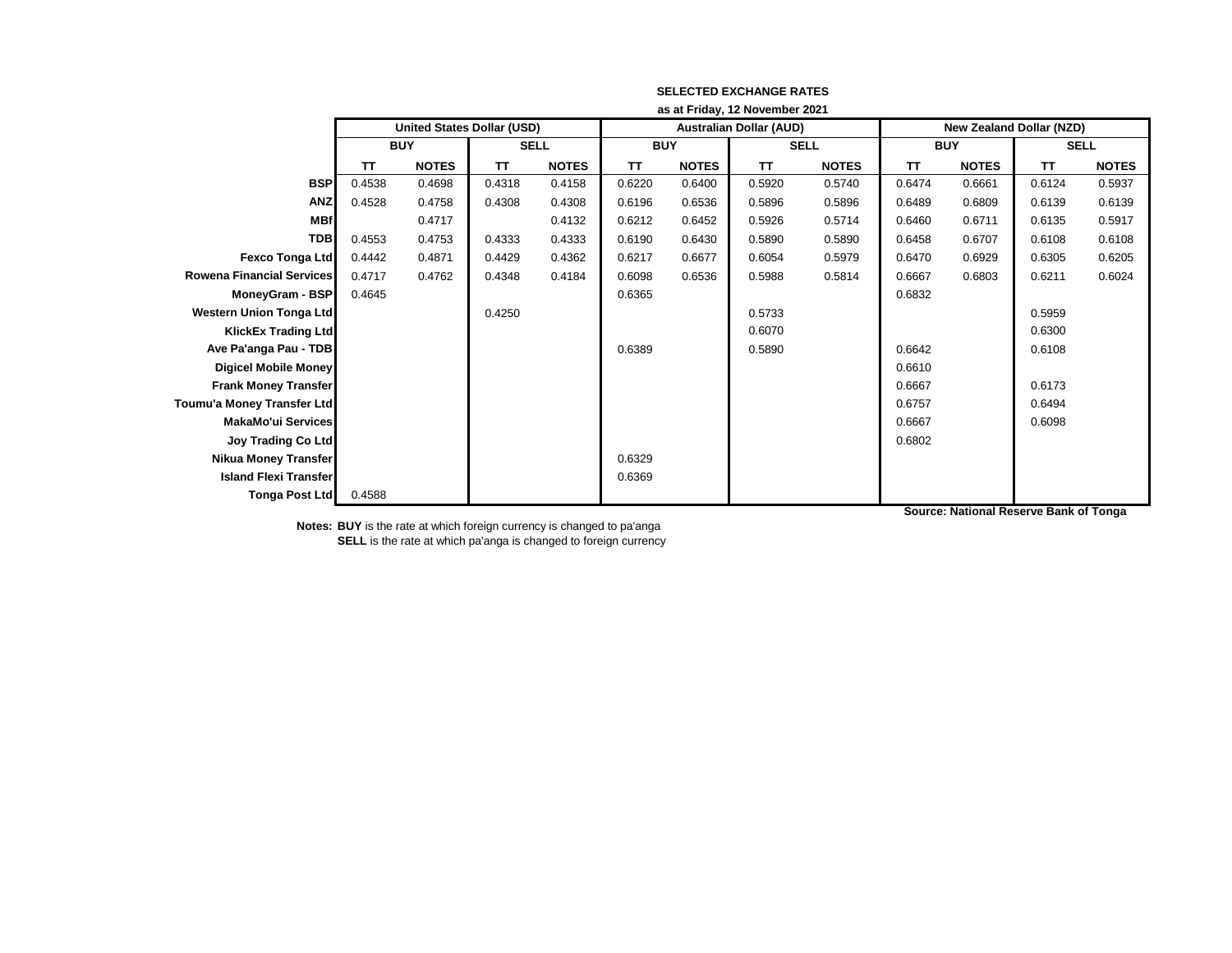|                                  | as at Friday, 12 November 2021 |                                   |             |              |            |              |                                |              |                                 |              |             |              |
|----------------------------------|--------------------------------|-----------------------------------|-------------|--------------|------------|--------------|--------------------------------|--------------|---------------------------------|--------------|-------------|--------------|
|                                  |                                | <b>United States Dollar (USD)</b> |             |              |            |              | <b>Australian Dollar (AUD)</b> |              | <b>New Zealand Dollar (NZD)</b> |              |             |              |
|                                  | <b>BUY</b>                     |                                   | <b>SELL</b> |              | <b>BUY</b> |              | <b>SELL</b>                    |              | <b>BUY</b>                      |              | <b>SELL</b> |              |
|                                  | TΤ                             | <b>NOTES</b>                      | TΤ          | <b>NOTES</b> | <b>TT</b>  | <b>NOTES</b> | <b>TT</b>                      | <b>NOTES</b> | TΤ                              | <b>NOTES</b> | TΤ          | <b>NOTES</b> |
| <b>BSP</b>                       | 0.4538                         | 0.4698                            | 0.4318      | 0.4158       | 0.6220     | 0.6400       | 0.5920                         | 0.5740       | 0.6474                          | 0.6661       | 0.6124      | 0.5937       |
| <b>ANZ</b>                       | 0.4528                         | 0.4758                            | 0.4308      | 0.4308       | 0.6196     | 0.6536       | 0.5896                         | 0.5896       | 0.6489                          | 0.6809       | 0.6139      | 0.6139       |
| <b>MBf</b>                       |                                | 0.4717                            |             | 0.4132       | 0.6212     | 0.6452       | 0.5926                         | 0.5714       | 0.6460                          | 0.6711       | 0.6135      | 0.5917       |
| <b>TDB</b>                       | 0.4553                         | 0.4753                            | 0.4333      | 0.4333       | 0.6190     | 0.6430       | 0.5890                         | 0.5890       | 0.6458                          | 0.6707       | 0.6108      | 0.6108       |
| Fexco Tonga Ltd                  | 0.4442                         | 0.4871                            | 0.4429      | 0.4362       | 0.6217     | 0.6677       | 0.6054                         | 0.5979       | 0.6470                          | 0.6929       | 0.6305      | 0.6205       |
| <b>Rowena Financial Services</b> | 0.4717                         | 0.4762                            | 0.4348      | 0.4184       | 0.6098     | 0.6536       | 0.5988                         | 0.5814       | 0.6667                          | 0.6803       | 0.6211      | 0.6024       |
| MoneyGram - BSP                  | 0.4645                         |                                   |             |              | 0.6365     |              |                                |              | 0.6832                          |              |             |              |
| <b>Western Union Tonga Ltd</b>   |                                |                                   | 0.4250      |              |            |              | 0.5733                         |              |                                 |              | 0.5959      |              |
| <b>KlickEx Trading Ltd</b>       |                                |                                   |             |              |            |              | 0.6070                         |              |                                 |              | 0.6300      |              |
| Ave Pa'anga Pau - TDB            |                                |                                   |             |              | 0.6389     |              | 0.5890                         |              | 0.6642                          |              | 0.6108      |              |
| <b>Digicel Mobile Money</b>      |                                |                                   |             |              |            |              |                                |              | 0.6610                          |              |             |              |
| <b>Frank Money Transfer</b>      |                                |                                   |             |              |            |              |                                |              | 0.6667                          |              | 0.6173      |              |
| Toumu'a Money Transfer Ltd       |                                |                                   |             |              |            |              |                                |              | 0.6757                          |              | 0.6494      |              |
| <b>MakaMo'ui Services</b>        |                                |                                   |             |              |            |              |                                |              | 0.6667                          |              | 0.6098      |              |
| <b>Joy Trading Co Ltd</b>        |                                |                                   |             |              |            |              |                                |              | 0.6802                          |              |             |              |
| <b>Nikua Money Transfer</b>      |                                |                                   |             |              | 0.6329     |              |                                |              |                                 |              |             |              |
| <b>Island Flexi Transfer</b>     |                                |                                   |             |              | 0.6369     |              |                                |              |                                 |              |             |              |
| <b>Tonga Post Ltd</b>            | 0.4588                         |                                   |             |              |            |              |                                |              |                                 |              |             |              |

**Source: National Reserve Bank of Tonga**

**Notes: BUY** is the rate at which foreign currency is changed to pa'anga **SELL** is the rate at which pa'anga is changed to foreign currency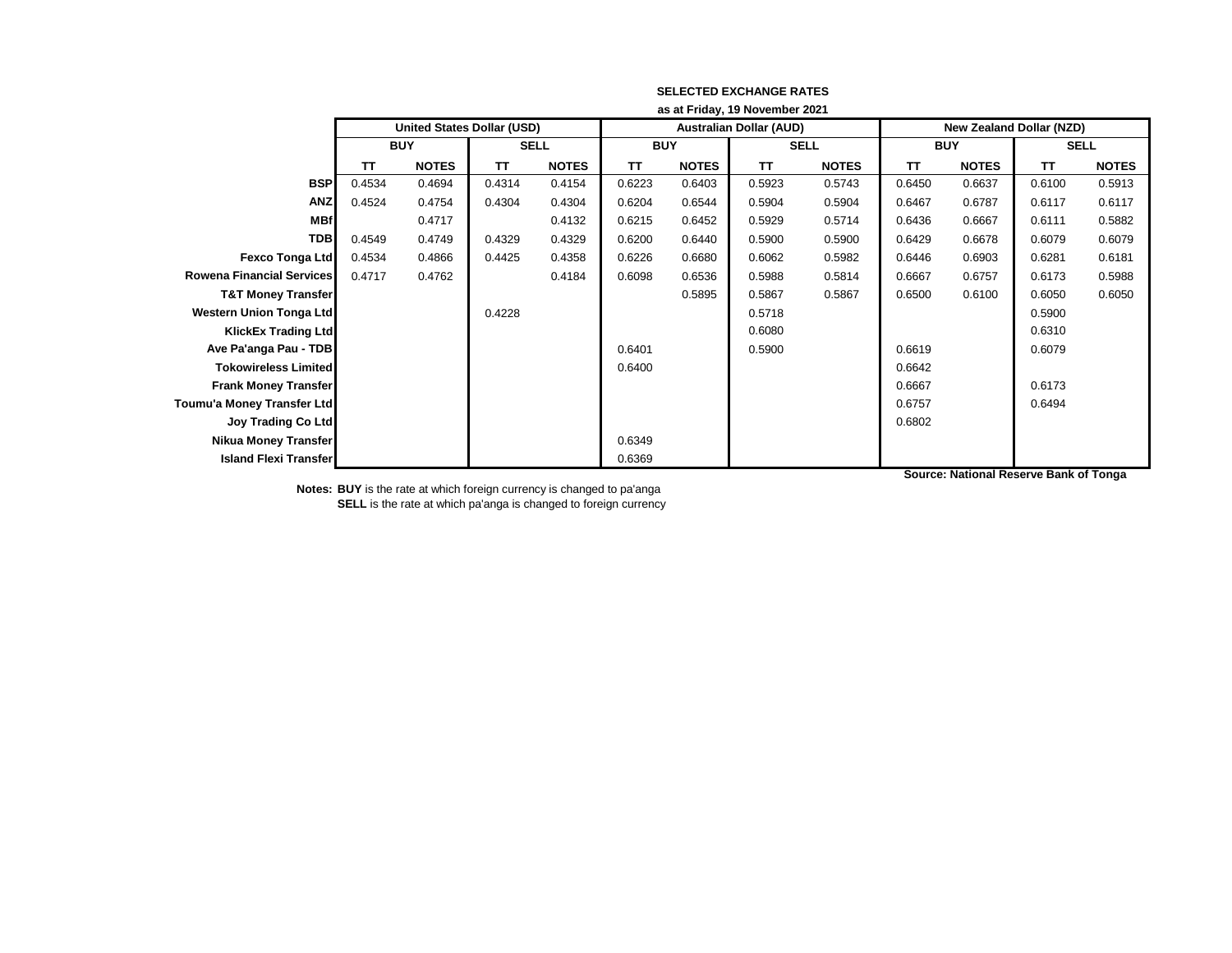|                                  | as at Friday, 19 November 2021 |                                   |             |              |            |              |                                |              |                          |              |             |              |
|----------------------------------|--------------------------------|-----------------------------------|-------------|--------------|------------|--------------|--------------------------------|--------------|--------------------------|--------------|-------------|--------------|
|                                  |                                | <b>United States Dollar (USD)</b> |             |              |            |              | <b>Australian Dollar (AUD)</b> |              | New Zealand Dollar (NZD) |              |             |              |
|                                  | <b>BUY</b>                     |                                   | <b>SELL</b> |              | <b>BUY</b> |              | <b>SELL</b>                    |              | <b>BUY</b>               |              | <b>SELL</b> |              |
|                                  | TΤ                             | <b>NOTES</b>                      | TΤ          | <b>NOTES</b> | TΤ         | <b>NOTES</b> | TΤ                             | <b>NOTES</b> | TΤ                       | <b>NOTES</b> | <b>TT</b>   | <b>NOTES</b> |
| <b>BSP</b>                       | 0.4534                         | 0.4694                            | 0.4314      | 0.4154       | 0.6223     | 0.6403       | 0.5923                         | 0.5743       | 0.6450                   | 0.6637       | 0.6100      | 0.5913       |
| <b>ANZ</b>                       | 0.4524                         | 0.4754                            | 0.4304      | 0.4304       | 0.6204     | 0.6544       | 0.5904                         | 0.5904       | 0.6467                   | 0.6787       | 0.6117      | 0.6117       |
| <b>MBf</b>                       |                                | 0.4717                            |             | 0.4132       | 0.6215     | 0.6452       | 0.5929                         | 0.5714       | 0.6436                   | 0.6667       | 0.6111      | 0.5882       |
| <b>TDB</b>                       | 0.4549                         | 0.4749                            | 0.4329      | 0.4329       | 0.6200     | 0.6440       | 0.5900                         | 0.5900       | 0.6429                   | 0.6678       | 0.6079      | 0.6079       |
| <b>Fexco Tonga Ltd</b>           | 0.4534                         | 0.4866                            | 0.4425      | 0.4358       | 0.6226     | 0.6680       | 0.6062                         | 0.5982       | 0.6446                   | 0.6903       | 0.6281      | 0.6181       |
| <b>Rowena Financial Services</b> | 0.4717                         | 0.4762                            |             | 0.4184       | 0.6098     | 0.6536       | 0.5988                         | 0.5814       | 0.6667                   | 0.6757       | 0.6173      | 0.5988       |
| <b>T&amp;T Money Transfer</b>    |                                |                                   |             |              |            | 0.5895       | 0.5867                         | 0.5867       | 0.6500                   | 0.6100       | 0.6050      | 0.6050       |
| <b>Western Union Tonga Ltd</b>   |                                |                                   | 0.4228      |              |            |              | 0.5718                         |              |                          |              | 0.5900      |              |
| <b>KlickEx Trading Ltd</b>       |                                |                                   |             |              |            |              | 0.6080                         |              |                          |              | 0.6310      |              |
| Ave Pa'anga Pau - TDB            |                                |                                   |             |              | 0.6401     |              | 0.5900                         |              | 0.6619                   |              | 0.6079      |              |
| <b>Tokowireless Limited</b>      |                                |                                   |             |              | 0.6400     |              |                                |              | 0.6642                   |              |             |              |
| <b>Frank Money Transfer</b>      |                                |                                   |             |              |            |              |                                |              | 0.6667                   |              | 0.6173      |              |
| Toumu'a Money Transfer Ltd       |                                |                                   |             |              |            |              |                                |              | 0.6757                   |              | 0.6494      |              |
| <b>Joy Trading Co Ltd</b>        |                                |                                   |             |              |            |              |                                |              | 0.6802                   |              |             |              |
| <b>Nikua Money Transfer</b>      |                                |                                   |             |              | 0.6349     |              |                                |              |                          |              |             |              |
| <b>Island Flexi Transfer</b>     |                                |                                   |             |              | 0.6369     |              |                                |              |                          |              |             |              |

**Source: National Reserve Bank of Tonga**

**Notes: BUY** is the rate at which foreign currency is changed to pa'anga **SELL** is the rate at which pa'anga is changed to foreign currency